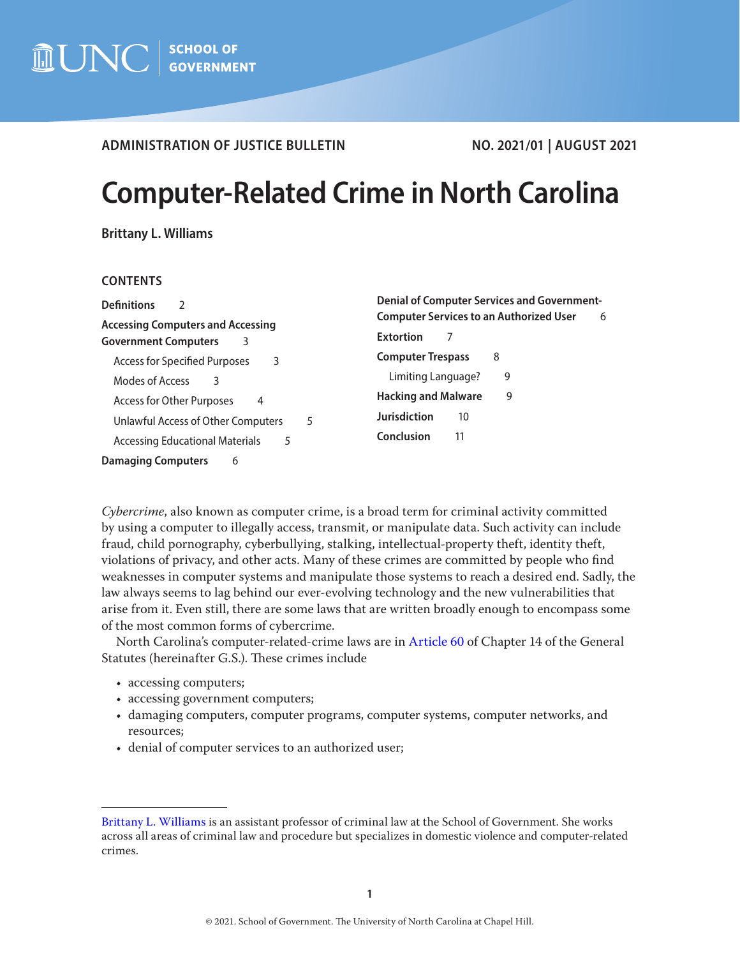# **ADMINISTRATION OF JUSTICE BULLETIN NO. 2021/01 | AUGUST 2021**

# **Computer-Related Crime in North Carolina**

**Brittany L. Williams**

## **CONTENTS**

| <b>Definitions</b>                                                           | <b>Denial of Computer Services and Government-</b>  |
|------------------------------------------------------------------------------|-----------------------------------------------------|
| <b>Accessing Computers and Accessing</b><br><b>Government Computers</b><br>3 | <b>Computer Services to an Authorized User</b><br>6 |
|                                                                              | <b>Extortion</b>                                    |
| Access for Specified Purposes                                                | <b>Computer Trespass</b>                            |
| 3                                                                            | 8                                                   |
| Modes of Access                                                              | Limiting Language?                                  |
| 3                                                                            | 9                                                   |
| Access for Other Purposes                                                    | <b>Hacking and Malware</b>                          |
| 4                                                                            | 9                                                   |
| Unlawful Access of Other Computers                                           | <b>Jurisdiction</b>                                 |
| 5                                                                            | 10                                                  |
| Accessing Educational Materials                                              | Conclusion                                          |
| 5                                                                            | 11                                                  |
| <b>Damaging Computers</b><br>6                                               |                                                     |

*Cybercrime*, also known as computer crime, is a broad term for criminal activity committed by using a computer to illegally access, transmit, or manipulate data. Such activity can include fraud, child pornography, cyberbullying, stalking, intellectual-property theft, identity theft, violations of privacy, and other acts. Many of these crimes are committed by people who find weaknesses in computer systems and manipulate those systems to reach a desired end. Sadly, the law always seems to lag behind our ever-evolving technology and the new vulnerabilities that arise from it. Even still, there are some laws that are written broadly enough to encompass some of the most common forms of cybercrime.

North Carolina's computer-related-crime laws are in [Article 60](https://www.ncleg.gov/EnactedLegislation/Statutes/PDF/ByArticle/Chapter_14/Article_60.pdf) of Chapter 14 of the General Statutes (hereinafter G.S.). These crimes include

- accessing computers;
- accessing government computers;
- damaging computers, computer programs, computer systems, computer networks, and resources;
- denial of computer services to an authorized user;

[Brittany L. Williams](https://www.sog.unc.edu/about/faculty-and-staff/brittany-williams) is an assistant professor of criminal law at the School of Government. She works across all areas of criminal law and procedure but specializes in domestic violence and computer-related crimes.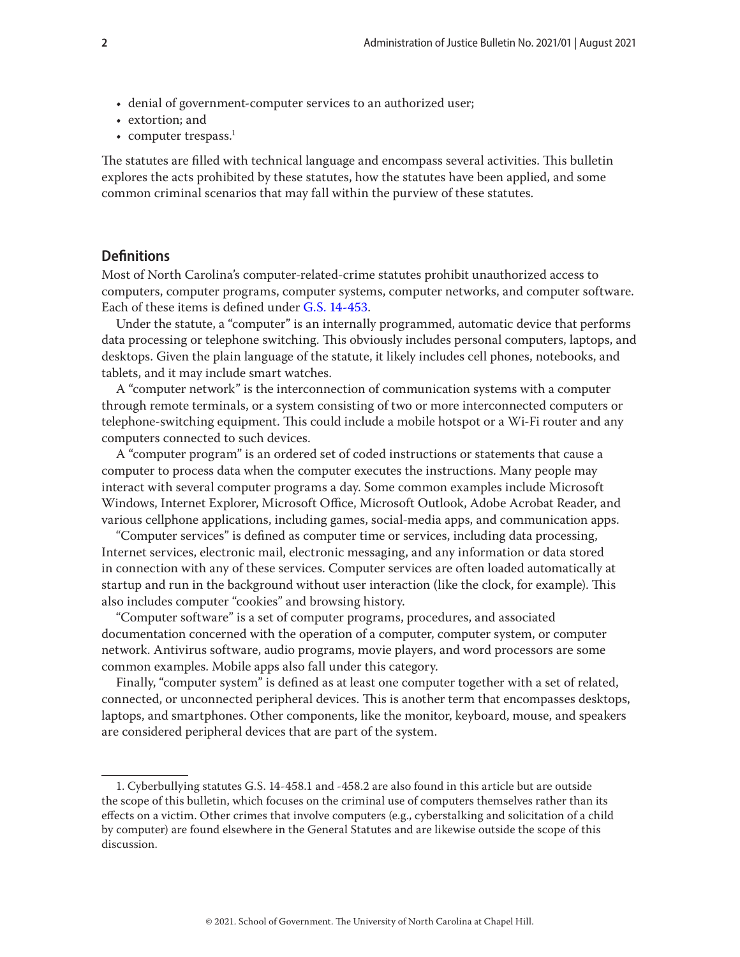- <span id="page-1-0"></span>• denial of government-computer services to an authorized user;
- extortion; and
- computer trespass. $1$

The statutes are filled with technical language and encompass several activities. This bulletin explores the acts prohibited by these statutes, how the statutes have been applied, and some common criminal scenarios that may fall within the purview of these statutes.

## **Definitions**

Most of North Carolina's computer-related-crime statutes prohibit unauthorized access to computers, computer programs, computer systems, computer networks, and computer software. Each of these items is defined under [G.S. 14-453](https://www.ncleg.gov/EnactedLegislation/Statutes/PDF/BySection/Chapter_14/GS_14-453.pdf).

Under the statute, a "computer" is an internally programmed, automatic device that performs data processing or telephone switching. This obviously includes personal computers, laptops, and desktops. Given the plain language of the statute, it likely includes cell phones, notebooks, and tablets, and it may include smart watches.

A "computer network" is the interconnection of communication systems with a computer through remote terminals, or a system consisting of two or more interconnected computers or telephone-switching equipment. This could include a mobile hotspot or a Wi-Fi router and any computers connected to such devices.

A "computer program" is an ordered set of coded instructions or statements that cause a computer to process data when the computer executes the instructions. Many people may interact with several computer programs a day. Some common examples include Microsoft Windows, Internet Explorer, Microsoft Office, Microsoft Outlook, Adobe Acrobat Reader, and various cellphone applications, including games, social-media apps, and communication apps.

"Computer services" is defined as computer time or services, including data processing, Internet services, electronic mail, electronic messaging, and any information or data stored in connection with any of these services. Computer services are often loaded automatically at startup and run in the background without user interaction (like the clock, for example). This also includes computer "cookies" and browsing history.

"Computer software" is a set of computer programs, procedures, and associated documentation concerned with the operation of a computer, computer system, or computer network. Antivirus software, audio programs, movie players, and word processors are some common examples. Mobile apps also fall under this category.

Finally, "computer system" is defined as at least one computer together with a set of related, connected, or unconnected peripheral devices. This is another term that encompasses desktops, laptops, and smartphones. Other components, like the monitor, keyboard, mouse, and speakers are considered peripheral devices that are part of the system.

<sup>1.</sup> Cyberbullying statutes G.S. 14-458.1 and -458.2 are also found in this article but are outside the scope of this bulletin, which focuses on the criminal use of computers themselves rather than its effects on a victim. Other crimes that involve computers (e.g., cyberstalking and solicitation of a child by computer) are found elsewhere in the General Statutes and are likewise outside the scope of this discussion.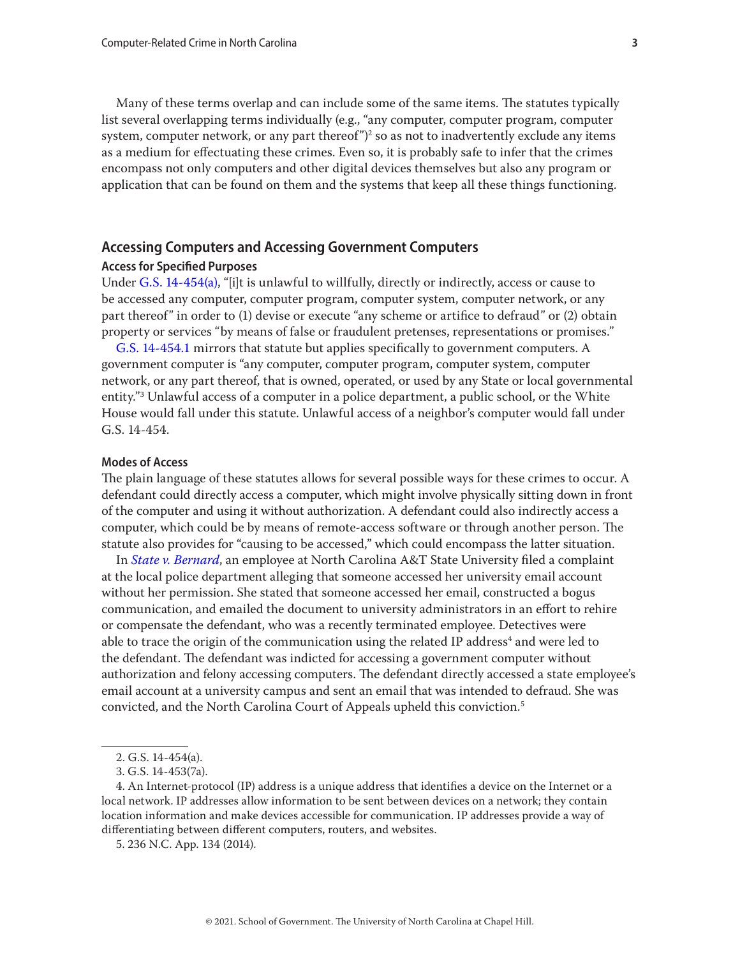<span id="page-2-0"></span>Many of these terms overlap and can include some of the same items. The statutes typically list several overlapping terms individually (e.g., "any computer, computer program, computer system, computer network, or any part thereof") $^2$  so as not to inadvertently exclude any items as a medium for effectuating these crimes. Even so, it is probably safe to infer that the crimes encompass not only computers and other digital devices themselves but also any program or application that can be found on them and the systems that keep all these things functioning.

# **Accessing Computers and Accessing Government Computers**

## **Access for Specified Purposes**

Under [G.S. 14-454](https://www.ncleg.gov/EnactedLegislation/Statutes/PDF/BySection/Chapter_14/GS_14-454.pdf)(a), "[i]t is unlawful to willfully, directly or indirectly, access or cause to be accessed any computer, computer program, computer system, computer network, or any part thereof" in order to (1) devise or execute "any scheme or artifice to defraud" or (2) obtain property or services "by means of false or fraudulent pretenses, representations or promises."

[G.S. 14-454.1](https://www.ncleg.gov/EnactedLegislation/Statutes/PDF/BySection/Chapter_14/GS_14-454.1.pdf) mirrors that statute but applies specifically to government computers. A government computer is "any computer, computer program, computer system, computer network, or any part thereof, that is owned, operated, or used by any State or local governmental entity."3 Unlawful access of a computer in a police department, a public school, or the White House would fall under this statute. Unlawful access of a neighbor's computer would fall under G.S. 14-454.

#### **Modes of Access**

The plain language of these statutes allows for several possible ways for these crimes to occur. A defendant could directly access a computer, which might involve physically sitting down in front of the computer and using it without authorization. A defendant could also indirectly access a computer, which could be by means of remote-access software or through another person. The statute also provides for "causing to be accessed," which could encompass the latter situation.

In *[State v. Bernard](https://appellate.nccourts.org/opinions/?c=2&pdf=31487)*, an employee at North Carolina A&T State University filed a complaint at the local police department alleging that someone accessed her university email account without her permission. She stated that someone accessed her email, constructed a bogus communication, and emailed the document to university administrators in an effort to rehire or compensate the defendant, who was a recently terminated employee. Detectives were able to trace the origin of the communication using the related IP address $^{\rm 4}$  and were led to the defendant. The defendant was indicted for accessing a government computer without authorization and felony accessing computers. The defendant directly accessed a state employee's email account at a university campus and sent an email that was intended to defraud. She was convicted, and the North Carolina Court of Appeals upheld this conviction.5

<sup>2.</sup> G.S. 14-454(a).

<sup>3.</sup> G.S. 14-453(7a).

<sup>4.</sup> An Internet-protocol (IP) address is a unique address that identifies a device on the Internet or a local network. IP addresses allow information to be sent between devices on a network; they contain location information and make devices accessible for communication. IP addresses provide a way of differentiating between different computers, routers, and websites.

<sup>5. 236</sup> N.C. App. 134 (2014).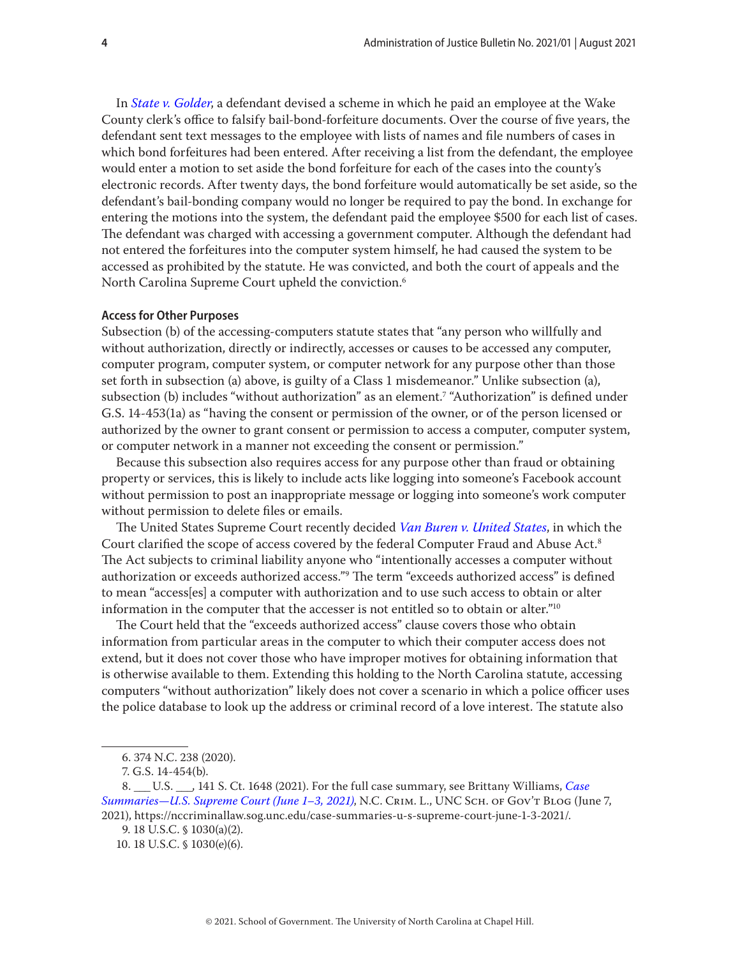<span id="page-3-0"></span>In *[State v. Golder](https://appellate.nccourts.org/opinions/?c=1&pdf=39253)*, a defendant devised a scheme in which he paid an employee at the Wake County clerk's office to falsify bail-bond-forfeiture documents. Over the course of five years, the defendant sent text messages to the employee with lists of names and file numbers of cases in which bond forfeitures had been entered. After receiving a list from the defendant, the employee would enter a motion to set aside the bond forfeiture for each of the cases into the county's electronic records. After twenty days, the bond forfeiture would automatically be set aside, so the defendant's bail-bonding company would no longer be required to pay the bond. In exchange for entering the motions into the system, the defendant paid the employee \$500 for each list of cases. The defendant was charged with accessing a government computer. Although the defendant had not entered the forfeitures into the computer system himself, he had caused the system to be accessed as prohibited by the statute. He was convicted, and both the court of appeals and the North Carolina Supreme Court upheld the conviction.6

#### **Access for Other Purposes**

Subsection (b) of the accessing-computers statute states that "any person who willfully and without authorization, directly or indirectly, accesses or causes to be accessed any computer, computer program, computer system, or computer network for any purpose other than those set forth in subsection (a) above, is guilty of a Class 1 misdemeanor." Unlike subsection (a), subsection (b) includes "without authorization" as an element.7 "Authorization" is defined under G.S. 14-453(1a) as "having the consent or permission of the owner, or of the person licensed or authorized by the owner to grant consent or permission to access a computer, computer system, or computer network in a manner not exceeding the consent or permission."

Because this subsection also requires access for any purpose other than fraud or obtaining property or services, this is likely to include acts like logging into someone's Facebook account without permission to post an inappropriate message or logging into someone's work computer without permission to delete files or emails.

The United States Supreme Court recently decided *[Van Buren v. United States](https://www.supremecourt.gov/opinions/20pdf/19-783_k53l.pdf)*, in which the Court clarified the scope of access covered by the federal Computer Fraud and Abuse Act.<sup>8</sup> The Act subjects to criminal liability anyone who "intentionally accesses a computer without authorization or exceeds authorized access."9 The term "exceeds authorized access" is defined to mean "access[es] a computer with authorization and to use such access to obtain or alter information in the computer that the accesser is not entitled so to obtain or alter."10

The Court held that the "exceeds authorized access" clause covers those who obtain information from particular areas in the computer to which their computer access does not extend, but it does not cover those who have improper motives for obtaining information that is otherwise available to them. Extending this holding to the North Carolina statute, accessing computers "without authorization" likely does not cover a scenario in which a police officer uses the police database to look up the address or criminal record of a love interest. The statute also

<sup>6. 374</sup> N.C. 238 (2020).

<sup>7.</sup> G.S. 14-454(b).

<sup>8.</sup> \_\_\_ U.S. \_\_\_, 141 S. Ct. 1648 (2021). For the full case summary, see Brittany Williams, *[Case](https://nccriminallaw.sog.unc.edu/case-summaries-u-s-supreme-court-june-1-3-2021/)  [Summaries—U.S. Supreme Court \(June 1–3, 2021\)](https://nccriminallaw.sog.unc.edu/case-summaries-u-s-supreme-court-june-1-3-2021/)*, N.C. Crim. L., UNC Sch. of Gov't Blog (June 7, 2021), https://nccriminallaw.sog.unc.edu/case-summaries-u-s-supreme-court-june-1-3-2021/.

<sup>9. 18</sup> U.S.C. § 1030(a)(2).

<sup>10. 18</sup> U.S.C. § 1030(e)(6).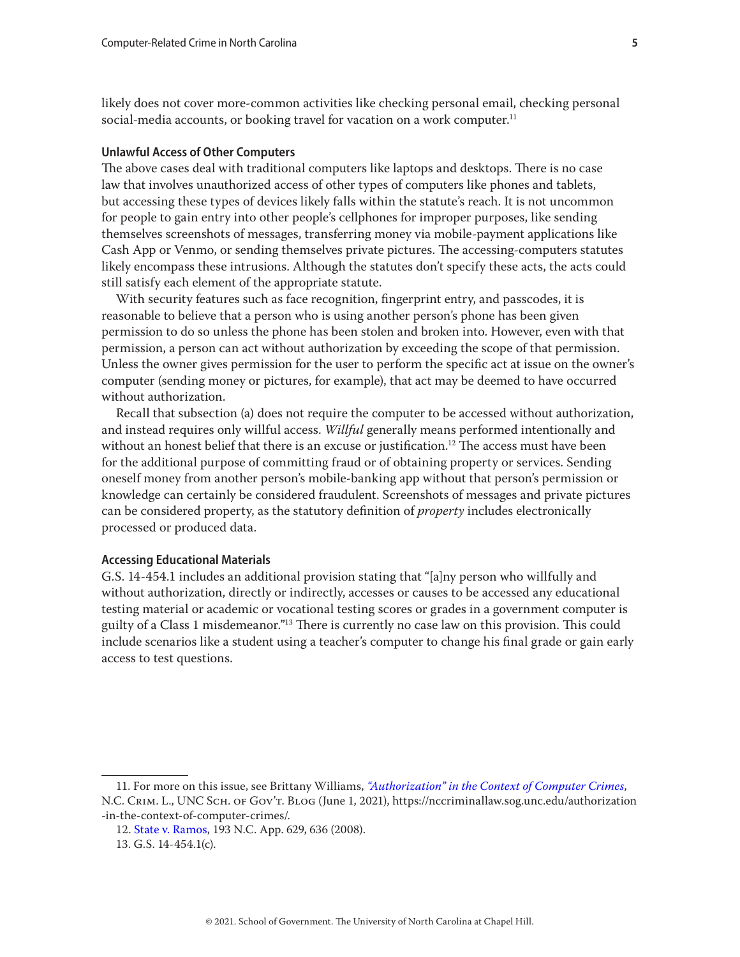<span id="page-4-0"></span>likely does not cover more-common activities like checking personal email, checking personal social-media accounts, or booking travel for vacation on a work computer.<sup>11</sup>

## **Unlawful Access of Other Computers**

The above cases deal with traditional computers like laptops and desktops. There is no case law that involves unauthorized access of other types of computers like phones and tablets, but accessing these types of devices likely falls within the statute's reach. It is not uncommon for people to gain entry into other people's cellphones for improper purposes, like sending themselves screenshots of messages, transferring money via mobile-payment applications like Cash App or Venmo, or sending themselves private pictures. The accessing-computers statutes likely encompass these intrusions. Although the statutes don't specify these acts, the acts could still satisfy each element of the appropriate statute.

With security features such as face recognition, fingerprint entry, and passcodes, it is reasonable to believe that a person who is using another person's phone has been given permission to do so unless the phone has been stolen and broken into. However, even with that permission, a person can act without authorization by exceeding the scope of that permission. Unless the owner gives permission for the user to perform the specific act at issue on the owner's computer (sending money or pictures, for example), that act may be deemed to have occurred without authorization.

Recall that subsection (a) does not require the computer to be accessed without authorization, and instead requires only willful access. *Willful* generally means performed intentionally and without an honest belief that there is an excuse or justification.<sup>12</sup> The access must have been for the additional purpose of committing fraud or of obtaining property or services. Sending oneself money from another person's mobile-banking app without that person's permission or knowledge can certainly be considered fraudulent. Screenshots of messages and private pictures can be considered property, as the statutory definition of *property* includes electronically processed or produced data.

#### **Accessing Educational Materials**

G.S. 14-454.1 includes an additional provision stating that "[a]ny person who willfully and without authorization, directly or indirectly, accesses or causes to be accessed any educational testing material or academic or vocational testing scores or grades in a government computer is guilty of a Class 1 misdemeanor."13 There is currently no case law on this provision. This could include scenarios like a student using a teacher's computer to change his final grade or gain early access to test questions.

<sup>11.</sup> For more on this issue, see Brittany Williams, *["Authorization" in the Context of Computer Crimes](https://nccriminallaw.sog.unc.edu/authorization-in-the-context-of-computer-crimes/)*, N.C. Crim. L., UNC Sch. of Gov't. Blog (June 1, 2021), https://nccriminallaw.sog.unc.edu/authorization -in-the-context-of-computer-crimes/.

<sup>12.</sup> [State v. Ramos,](https://appellate.nccourts.org/opinions/?c=2&pdf=3144) 193 N.C. App. 629, 636 (2008).

<sup>13.</sup> G.S. 14-454.1(c).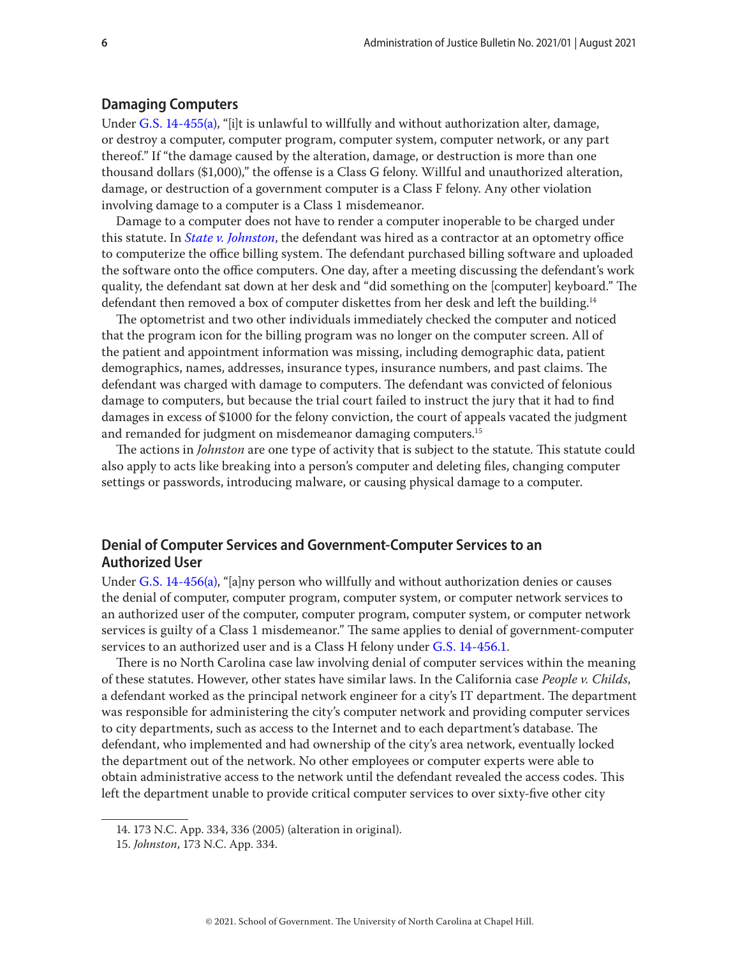## <span id="page-5-0"></span>**Damaging Computers**

Under [G.S. 14-455\(](https://www.ncleg.gov/EnactedLegislation/Statutes/PDF/BySection/Chapter_14/GS_14-455.pdf)a), "[i]t is unlawful to willfully and without authorization alter, damage, or destroy a computer, computer program, computer system, computer network, or any part thereof." If "the damage caused by the alteration, damage, or destruction is more than one thousand dollars (\$1,000)," the offense is a Class G felony. Willful and unauthorized alteration, damage, or destruction of a government computer is a Class F felony. Any other violation involving damage to a computer is a Class 1 misdemeanor.

Damage to a computer does not have to render a computer inoperable to be charged under this statute. In *[State v. Johnston](https://appellate.nccourts.org/opinions/?c=2&pdf=24639)*, the defendant was hired as a contractor at an optometry office to computerize the office billing system. The defendant purchased billing software and uploaded the software onto the office computers. One day, after a meeting discussing the defendant's work quality, the defendant sat down at her desk and "did something on the [computer] keyboard." The defendant then removed a box of computer diskettes from her desk and left the building.<sup>14</sup>

The optometrist and two other individuals immediately checked the computer and noticed that the program icon for the billing program was no longer on the computer screen. All of the patient and appointment information was missing, including demographic data, patient demographics, names, addresses, insurance types, insurance numbers, and past claims. The defendant was charged with damage to computers. The defendant was convicted of felonious damage to computers, but because the trial court failed to instruct the jury that it had to find damages in excess of \$1000 for the felony conviction, the court of appeals vacated the judgment and remanded for judgment on misdemeanor damaging computers.<sup>15</sup>

The actions in *Johnston* are one type of activity that is subject to the statute. This statute could also apply to acts like breaking into a person's computer and deleting files, changing computer settings or passwords, introducing malware, or causing physical damage to a computer.

# **Denial of Computer Services and Government-Computer Services to an Authorized User**

Under [G.S. 14-456\(](https://www.ncleg.gov/EnactedLegislation/Statutes/PDF/BySection/Chapter_14/GS_14-456.pdf)a), "[a]ny person who willfully and without authorization denies or causes the denial of computer, computer program, computer system, or computer network services to an authorized user of the computer, computer program, computer system, or computer network services is guilty of a Class 1 misdemeanor." The same applies to denial of government-computer services to an authorized user and is a Class H felony under [G.S. 14-456.1](https://www.ncleg.gov/EnactedLegislation/Statutes/PDF/BySection/Chapter_14/GS_14-456.1.pdf).

There is no North Carolina case law involving denial of computer services within the meaning of these statutes. However, other states have similar laws. In the California case *People v. Childs*, a defendant worked as the principal network engineer for a city's IT department. The department was responsible for administering the city's computer network and providing computer services to city departments, such as access to the Internet and to each department's database. The defendant, who implemented and had ownership of the city's area network, eventually locked the department out of the network. No other employees or computer experts were able to obtain administrative access to the network until the defendant revealed the access codes. This left the department unable to provide critical computer services to over sixty-five other city

<sup>14. 173</sup> N.C. App. 334, 336 (2005) (alteration in original).

<sup>15.</sup> *Johnston*, 173 N.C. App. 334.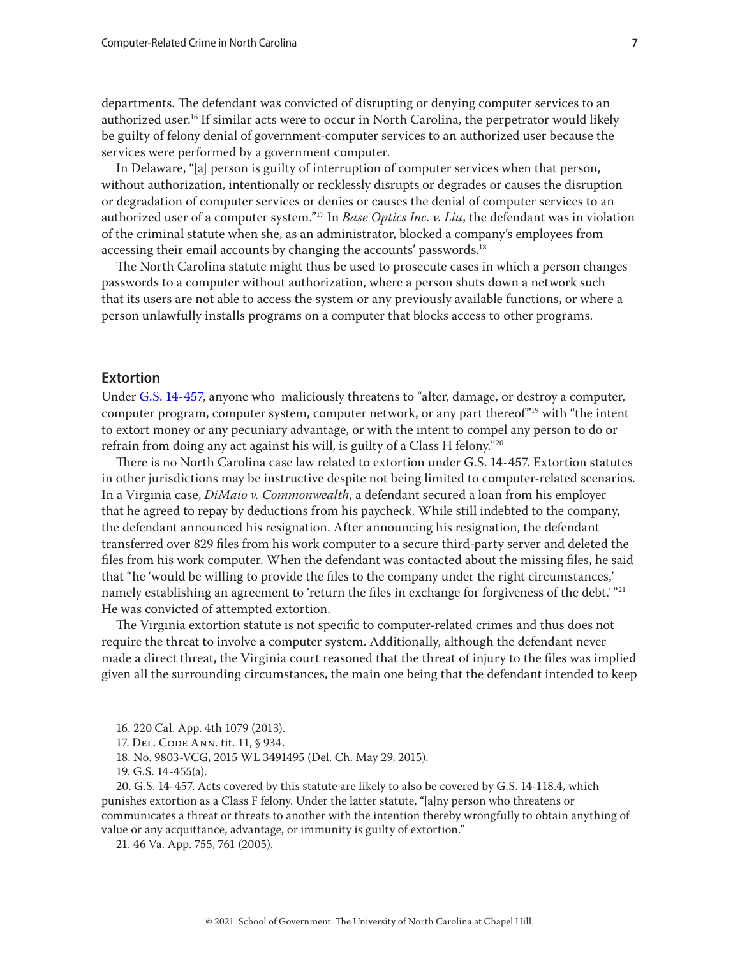<span id="page-6-0"></span>departments. The defendant was convicted of disrupting or denying computer services to an authorized user.<sup>16</sup> If similar acts were to occur in North Carolina, the perpetrator would likely be guilty of felony denial of government-computer services to an authorized user because the services were performed by a government computer.

In Delaware, "[a] person is guilty of interruption of computer services when that person, without authorization, intentionally or recklessly disrupts or degrades or causes the disruption or degradation of computer services or denies or causes the denial of computer services to an authorized user of a computer system."17 In *Base Optics Inc. v. Liu*, the defendant was in violation of the criminal statute when she, as an administrator, blocked a company's employees from accessing their email accounts by changing the accounts' passwords.<sup>18</sup>

The North Carolina statute might thus be used to prosecute cases in which a person changes passwords to a computer without authorization, where a person shuts down a network such that its users are not able to access the system or any previously available functions, or where a person unlawfully installs programs on a computer that blocks access to other programs.

# **Extortion**

Under [G.S. 14-457,](https://www.ncleg.gov/EnactedLegislation/Statutes/PDF/BySection/Chapter_14/GS_14-457.pdf) anyone who maliciously threatens to "alter, damage, or destroy a computer, computer program, computer system, computer network, or any part thereof<sup>"19</sup> with "the intent" to extort money or any pecuniary advantage, or with the intent to compel any person to do or refrain from doing any act against his will, is guilty of a Class H felony."20

There is no North Carolina case law related to extortion under G.S. 14-457. Extortion statutes in other jurisdictions may be instructive despite not being limited to computer-related scenarios. In a Virginia case, *DiMaio v. Commonwealth*, a defendant secured a loan from his employer that he agreed to repay by deductions from his paycheck. While still indebted to the company, the defendant announced his resignation. After announcing his resignation, the defendant transferred over 829 files from his work computer to a secure third-party server and deleted the files from his work computer. When the defendant was contacted about the missing files, he said that "he 'would be willing to provide the files to the company under the right circumstances,' namely establishing an agreement to 'return the files in exchange for forgiveness of the debt.'"<sup>21</sup> He was convicted of attempted extortion.

The Virginia extortion statute is not specific to computer-related crimes and thus does not require the threat to involve a computer system. Additionally, although the defendant never made a direct threat, the Virginia court reasoned that the threat of injury to the files was implied given all the surrounding circumstances, the main one being that the defendant intended to keep

<sup>16. 220</sup> Cal. App. 4th 1079 (2013).

<sup>17.</sup> Del. Code Ann. tit. 11, § 934.

<sup>18.</sup> No. 9803-VCG, 2015 WL 3491495 (Del. Ch. May 29, 2015).

<sup>19.</sup> G.S. 14-455(a).

<sup>20.</sup> G.S. 14-457. Acts covered by this statute are likely to also be covered by G.S. 14-118.4, which punishes extortion as a Class F felony. Under the latter statute, "[a]ny person who threatens or communicates a threat or threats to another with the intention thereby wrongfully to obtain anything of value or any acquittance, advantage, or immunity is guilty of extortion."

<sup>21. 46</sup> Va. App. 755, 761 (2005).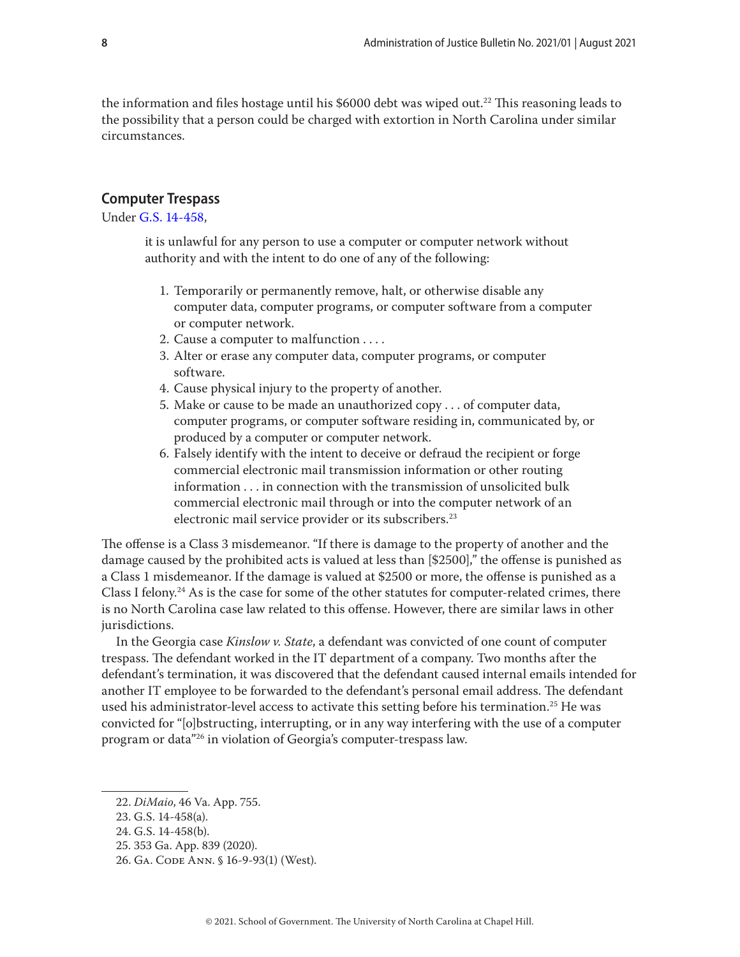<span id="page-7-0"></span>the information and files hostage until his \$6000 debt was wiped out.<sup>22</sup> This reasoning leads to the possibility that a person could be charged with extortion in North Carolina under similar circumstances.

## **Computer Trespass**

Under [G.S. 14-458,](https://www.ncleg.gov/EnactedLegislation/Statutes/PDF/BySection/Chapter_14/GS_14-458.pdf)

it is unlawful for any person to use a computer or computer network without authority and with the intent to do one of any of the following:

- 1. Temporarily or permanently remove, halt, or otherwise disable any computer data, computer programs, or computer software from a computer or computer network.
- 2. Cause a computer to malfunction . . . .
- 3. Alter or erase any computer data, computer programs, or computer software.
- 4. Cause physical injury to the property of another.
- 5. Make or cause to be made an unauthorized copy . . . of computer data, computer programs, or computer software residing in, communicated by, or produced by a computer or computer network.
- 6. Falsely identify with the intent to deceive or defraud the recipient or forge commercial electronic mail transmission information or other routing information . . . in connection with the transmission of unsolicited bulk commercial electronic mail through or into the computer network of an electronic mail service provider or its subscribers.<sup>23</sup>

The offense is a Class 3 misdemeanor. "If there is damage to the property of another and the damage caused by the prohibited acts is valued at less than [\$2500]," the offense is punished as a Class 1 misdemeanor. If the damage is valued at \$2500 or more, the offense is punished as a Class I felony.<sup>24</sup> As is the case for some of the other statutes for computer-related crimes, there is no North Carolina case law related to this offense. However, there are similar laws in other jurisdictions.

In the Georgia case *Kinslow v. State*, a defendant was convicted of one count of computer trespass. The defendant worked in the IT department of a company. Two months after the defendant's termination, it was discovered that the defendant caused internal emails intended for another IT employee to be forwarded to the defendant's personal email address. The defendant used his administrator-level access to activate this setting before his termination.25 He was convicted for "[o]bstructing, interrupting, or in any way interfering with the use of a computer program or data"26 in violation of Georgia's computer-trespass law.

<sup>22.</sup> *DiMaio*, 46 Va. App. 755.

<sup>23.</sup> G.S. 14-458(a).

<sup>24.</sup> G.S. 14-458(b).

<sup>25. 353</sup> Ga. App. 839 (2020).

<sup>26.</sup> Ga. Code Ann. § 16-9-93(1) (West).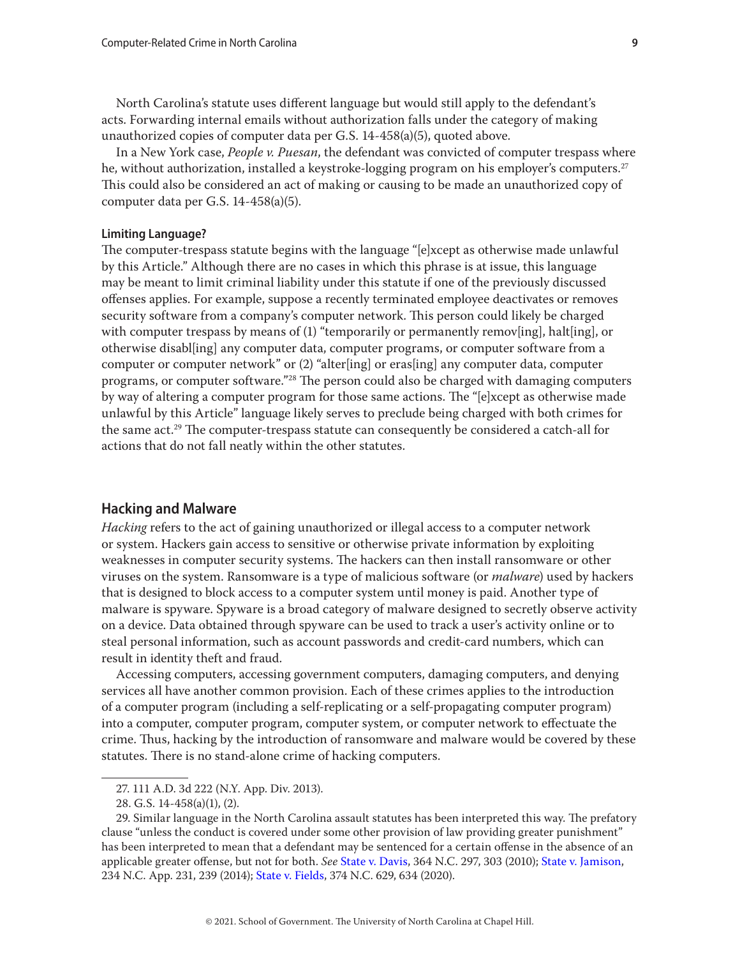<span id="page-8-0"></span>North Carolina's statute uses different language but would still apply to the defendant's acts. Forwarding internal emails without authorization falls under the category of making unauthorized copies of computer data per G.S. 14-458(a)(5), quoted above.

In a New York case, *People v. Puesan*, the defendant was convicted of computer trespass where he, without authorization, installed a keystroke-logging program on his employer's computers.<sup>27</sup> This could also be considered an act of making or causing to be made an unauthorized copy of computer data per G.S. 14-458(a)(5).

#### **Limiting Language?**

The computer-trespass statute begins with the language "[e]xcept as otherwise made unlawful by this Article." Although there are no cases in which this phrase is at issue, this language may be meant to limit criminal liability under this statute if one of the previously discussed offenses applies. For example, suppose a recently terminated employee deactivates or removes security software from a company's computer network. This person could likely be charged with computer trespass by means of (1) "temporarily or permanently remov[ing], halt[ing], or otherwise disabl[ing] any computer data, computer programs, or computer software from a computer or computer network" or (2) "alter[ing] or eras[ing] any computer data, computer programs, or computer software."28 The person could also be charged with damaging computers by way of altering a computer program for those same actions. The "[e]xcept as otherwise made unlawful by this Article" language likely serves to preclude being charged with both crimes for the same act.29 The computer-trespass statute can consequently be considered a catch-all for actions that do not fall neatly within the other statutes.

#### **Hacking and Malware**

*Hacking* refers to the act of gaining unauthorized or illegal access to a computer network or system. Hackers gain access to sensitive or otherwise private information by exploiting weaknesses in computer security systems. The hackers can then install ransomware or other viruses on the system. Ransomware is a type of malicious software (or *malware*) used by hackers that is designed to block access to a computer system until money is paid. Another type of malware is spyware. Spyware is a broad category of malware designed to secretly observe activity on a device. Data obtained through spyware can be used to track a user's activity online or to steal personal information, such as account passwords and credit-card numbers, which can result in identity theft and fraud.

Accessing computers, accessing government computers, damaging computers, and denying services all have another common provision. Each of these crimes applies to the introduction of a computer program (including a self-replicating or a self-propagating computer program) into a computer, computer program, computer system, or computer network to effectuate the crime. Thus, hacking by the introduction of ransomware and malware would be covered by these statutes. There is no stand-alone crime of hacking computers.

<sup>27. 111</sup> A.D. 3d 222 (N.Y. App. Div. 2013).

<sup>28.</sup> G.S. 14-458(a)(1), (2).

<sup>29.</sup> Similar language in the North Carolina assault statutes has been interpreted this way. The prefatory clause "unless the conduct is covered under some other provision of law providing greater punishment" has been interpreted to mean that a defendant may be sentenced for a certain offense in the absence of an applicable greater offense, but not for both. *See* [State v. Davis](https://appellate.nccourts.org/opinions/?c=1&pdf=6963), 364 N.C. 297, 303 (2010); [State v. Jamison](https://appellate.nccourts.org/opinions/?c=2&pdf=31411), 234 N.C. App. 231, 239 (2014); [State v. Fields](https://appellate.nccourts.org/opinions/?c=1&pdf=39385), 374 N.C. 629, 634 (2020).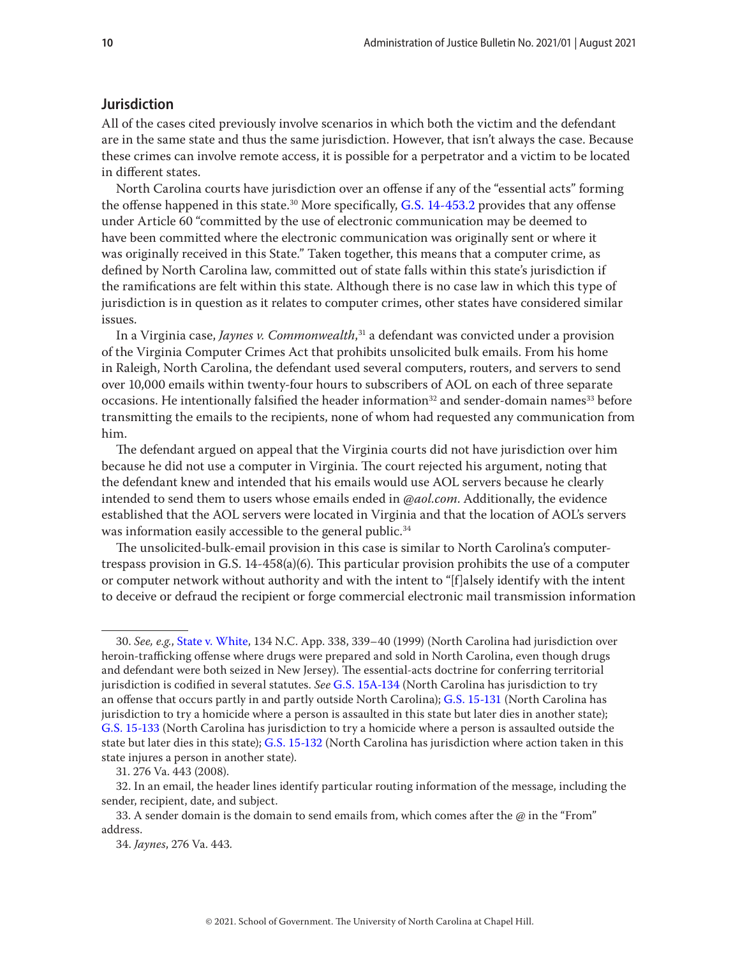## <span id="page-9-0"></span>**Jurisdiction**

All of the cases cited previously involve scenarios in which both the victim and the defendant are in the same state and thus the same jurisdiction. However, that isn't always the case. Because these crimes can involve remote access, it is possible for a perpetrator and a victim to be located in different states.

North Carolina courts have jurisdiction over an offense if any of the "essential acts" forming the offense happened in this state.30 More specifically, [G.S. 14-453.2](https://www.ncleg.gov/EnactedLegislation/Statutes/PDF/BySection/Chapter_14/GS_14-453.2.pdf) provides that any offense under Article 60 "committed by the use of electronic communication may be deemed to have been committed where the electronic communication was originally sent or where it was originally received in this State." Taken together, this means that a computer crime, as defined by North Carolina law, committed out of state falls within this state's jurisdiction if the ramifications are felt within this state. Although there is no case law in which this type of jurisdiction is in question as it relates to computer crimes, other states have considered similar issues.

In a Virginia case, *Jaynes v. Commonwealth*, 31 a defendant was convicted under a provision of the Virginia Computer Crimes Act that prohibits unsolicited bulk emails. From his home in Raleigh, North Carolina, the defendant used several computers, routers, and servers to send over 10,000 emails within twenty-four hours to subscribers of AOL on each of three separate occasions. He intentionally falsified the header information<sup>32</sup> and sender-domain names<sup>33</sup> before transmitting the emails to the recipients, none of whom had requested any communication from him.

The defendant argued on appeal that the Virginia courts did not have jurisdiction over him because he did not use a computer in Virginia. The court rejected his argument, noting that the defendant knew and intended that his emails would use AOL servers because he clearly intended to send them to users whose emails ended in *@aol.com*. Additionally, the evidence established that the AOL servers were located in Virginia and that the location of AOL's servers was information easily accessible to the general public.<sup>34</sup>

The unsolicited-bulk-email provision in this case is similar to North Carolina's computertrespass provision in G.S. 14-458(a)(6). This particular provision prohibits the use of a computer or computer network without authority and with the intent to "[f]alsely identify with the intent to deceive or defraud the recipient or forge commercial electronic mail transmission information

<sup>30.</sup> *See, e.g.*, [State v. White](https://appellate.nccourts.org/opinions/?c=2&pdf=15712), 134 N.C. App. 338, 339–40 (1999) (North Carolina had jurisdiction over heroin-trafficking offense where drugs were prepared and sold in North Carolina, even though drugs and defendant were both seized in New Jersey). The essential-acts doctrine for conferring territorial jurisdiction is codified in several statutes. *See* [G.S. 15A-134](https://www.ncleg.gov/EnactedLegislation/Statutes/HTML/BySection/Chapter_15a/GS_15a-134.html) (North Carolina has jurisdiction to try an offense that occurs partly in and partly outside North Carolina); [G.S. 15-131](https://www.ncleg.gov/EnactedLegislation/Statutes/HTML/BySection/Chapter_15/GS_15-131.html) (North Carolina has jurisdiction to try a homicide where a person is assaulted in this state but later dies in another state); [G.S. 15-133](https://www.ncleg.gov/EnactedLegislation/Statutes/HTML/BySection/Chapter_15/GS_15-133.html) (North Carolina has jurisdiction to try a homicide where a person is assaulted outside the state but later dies in this state); [G.S. 15-132](https://www.ncleg.gov/EnactedLegislation/Statutes/HTML/BySection/Chapter_15/GS_15-132.html) (North Carolina has jurisdiction where action taken in this state injures a person in another state).

<sup>31. 276</sup> Va. 443 (2008).

<sup>32.</sup> In an email, the header lines identify particular routing information of the message, including the sender, recipient, date, and subject.

<sup>33.</sup> A sender domain is the domain to send emails from, which comes after the *@* in the "From" address.

<sup>34.</sup> *Jaynes*, 276 Va. 443*.*